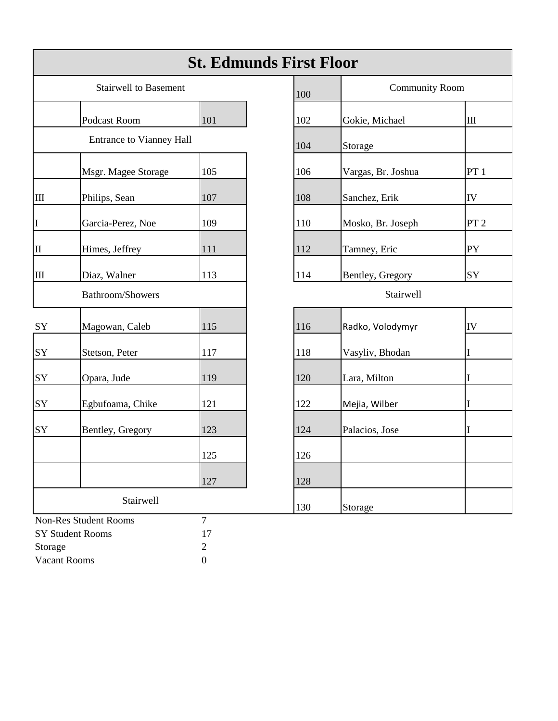|                                  |                                 | <b>St. Edmunds First Floor</b>     |     |                       |                 |
|----------------------------------|---------------------------------|------------------------------------|-----|-----------------------|-----------------|
|                                  | <b>Stairwell to Basement</b>    |                                    | 100 | <b>Community Room</b> |                 |
|                                  | Podcast Room                    | 101                                | 102 | Gokie, Michael        | $\rm III$       |
|                                  | <b>Entrance to Vianney Hall</b> |                                    | 104 | Storage               |                 |
|                                  | Msgr. Magee Storage             | 105                                | 106 | Vargas, Br. Joshua    | PT1             |
| $\mathop{\mathrm{III}}\nolimits$ | Philips, Sean                   | 107                                | 108 | Sanchez, Erik         | IV              |
| $\mathbf I$                      | Garcia-Perez, Noe               | 109                                | 110 | Mosko, Br. Joseph     | PT <sub>2</sub> |
| $\rm II$                         | Himes, Jeffrey                  | 111                                | 112 | Tamney, Eric          | PY              |
| $\mathop{\mathrm{III}}\nolimits$ | Diaz, Walner                    | 113                                | 114 | Bentley, Gregory      | SY              |
|                                  | Bathroom/Showers                |                                    |     | Stairwell             |                 |
| SY                               | Magowan, Caleb                  | 115                                | 116 | Radko, Volodymyr      | IV              |
| SY                               | Stetson, Peter                  | 117                                | 118 | Vasyliv, Bhodan       | I               |
| SY                               | Opara, Jude                     | 119                                | 120 | Lara, Milton          | I               |
| SY                               | Egbufoama, Chike                | 121                                | 122 | Mejia, Wilber         | I               |
| SY                               | Bentley, Gregory                | 123                                | 124 | Palacios, Jose        | I               |
|                                  |                                 | 125                                | 126 |                       |                 |
|                                  |                                 | 127                                | 128 |                       |                 |
|                                  | Stairwell                       |                                    | 130 | Storage               |                 |
|                                  | <b>Non-Res Student Rooms</b>    | $\overline{7}$                     |     |                       |                 |
|                                  | <b>SY Student Rooms</b>         | 17                                 |     |                       |                 |
| Storage                          | Vacant Rooms                    | $\overline{c}$<br>$\boldsymbol{0}$ |     |                       |                 |

| <b>St. Edmunds First Floor</b>  |     |     |                       |                 |  |  |  |
|---------------------------------|-----|-----|-----------------------|-----------------|--|--|--|
| <b>Stairwell to Basement</b>    |     | 100 | <b>Community Room</b> |                 |  |  |  |
| Podcast Room                    | 101 | 102 | Gokie, Michael        | $\rm III$       |  |  |  |
| <b>Entrance to Vianney Hall</b> |     | 104 | Storage               |                 |  |  |  |
| Msgr. Magee Storage             | 105 | 106 | Vargas, Br. Joshua    | PT1             |  |  |  |
| Philips, Sean                   | 107 | 108 | Sanchez, Erik         | IV              |  |  |  |
| Garcia-Perez, Noe               | 109 | 110 | Mosko, Br. Joseph     | PT <sub>2</sub> |  |  |  |
| Himes, Jeffrey                  | 111 | 112 | Tamney, Eric          | PY              |  |  |  |
| Diaz, Walner                    | 113 | 114 | Bentley, Gregory      | SY              |  |  |  |
| <b>Bathroom/Showers</b>         |     |     | Stairwell             |                 |  |  |  |
| Magowan, Caleb                  | 115 | 116 | Radko, Volodymyr      | ${\rm IV}$      |  |  |  |
| Stetson, Peter                  | 117 | 118 | Vasyliv, Bhodan       | L               |  |  |  |
| Opara, Jude                     | 119 | 120 | Lara, Milton          |                 |  |  |  |
| Egbufoama, Chike                | 121 | 122 | Mejia, Wilber         |                 |  |  |  |
| Bentley, Gregory                | 123 | 124 | Palacios, Jose        |                 |  |  |  |
|                                 | 125 | 126 |                       |                 |  |  |  |
|                                 | 127 | 128 |                       |                 |  |  |  |
| Stairwell                       |     | 130 | Storage               |                 |  |  |  |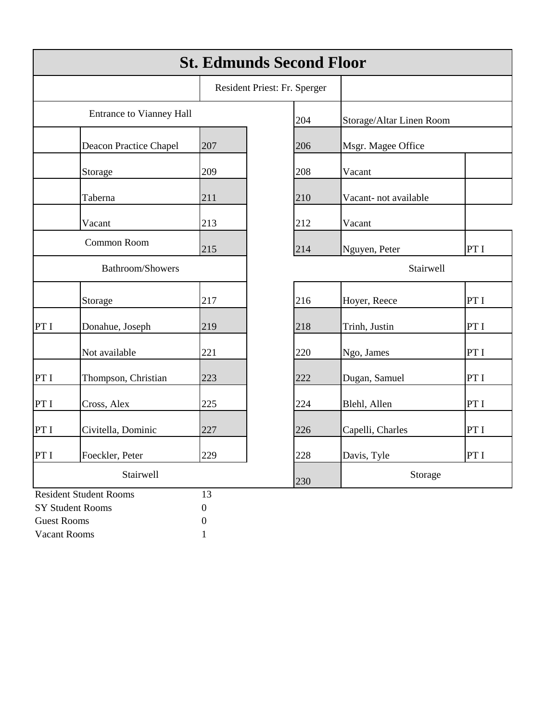|                         |                                 |                  | <b>St. Edmunds Second Floor</b> |                      |                          |  |
|-------------------------|---------------------------------|------------------|---------------------------------|----------------------|--------------------------|--|
|                         |                                 |                  | Resident Priest: Fr. Sperger    |                      |                          |  |
|                         | <b>Entrance to Vianney Hall</b> |                  | 204                             |                      | Storage/Altar Linen Room |  |
|                         | Deacon Practice Chapel          | 207              | 206                             | Msgr. Magee Office   |                          |  |
|                         | Storage                         | 209              | 208                             | Vacant               |                          |  |
|                         | Taberna                         | 211              | 210                             | Vacant-not available |                          |  |
|                         | Vacant                          | 213              | 212                             | Vacant               |                          |  |
| Common Room             |                                 | 215              | 214                             | Nguyen, Peter        | PT I                     |  |
| <b>Bathroom/Showers</b> |                                 |                  | Stairwell                       |                      |                          |  |
|                         | Storage                         | 217              | 216                             | Hoyer, Reece         | PT I                     |  |
| PT I                    | Donahue, Joseph                 | 219              | 218                             | Trinh, Justin        | PT I                     |  |
|                         | Not available                   | 221              | 220                             | Ngo, James           | PT I                     |  |
| PT I                    | Thompson, Christian             | 223              | 222                             | Dugan, Samuel        | PT I                     |  |
| PT I                    | Cross, Alex                     | 225              | 224                             | Blehl, Allen         | PT I                     |  |
| PT I                    | Civitella, Dominic              | 227              | 226                             | Capelli, Charles     | PT I                     |  |
| PT I                    | Foeckler, Peter                 | 229              | 228                             | Davis, Tyle          | PT I                     |  |
| Stairwell               |                                 |                  | 230                             | Storage              |                          |  |
|                         | <b>Resident Student Rooms</b>   | 13               |                                 |                      |                          |  |
|                         | <b>SY Student Rooms</b>         | $\boldsymbol{0}$ |                                 |                      |                          |  |
| <b>Guest Rooms</b>      |                                 | $\overline{0}$   |                                 |                      |                          |  |
| Vacant Rooms            |                                 |                  |                                 |                      |                          |  |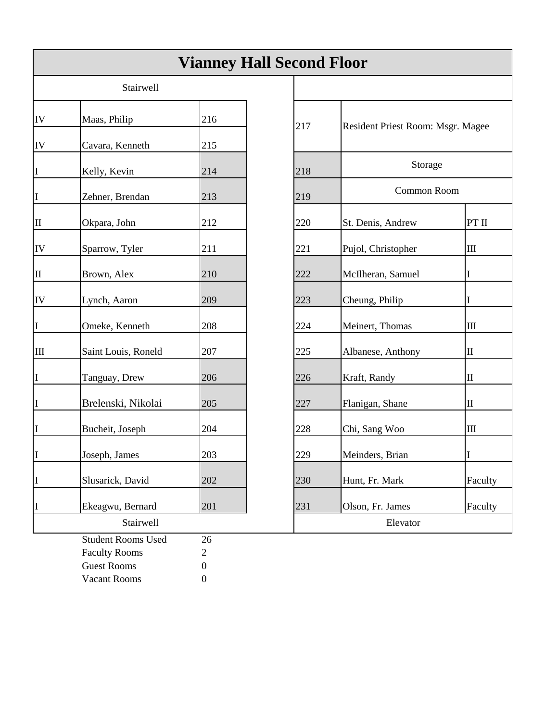|                                  |                                 |            | <b>Vianney Hall Second Floor</b> |                                   |                                  |
|----------------------------------|---------------------------------|------------|----------------------------------|-----------------------------------|----------------------------------|
|                                  | Stairwell                       |            |                                  |                                   |                                  |
| IV                               | Maas, Philip                    | 216        | 217                              | Resident Priest Room: Msgr. Magee |                                  |
| IV<br>I                          | Cavara, Kenneth<br>Kelly, Kevin | 215<br>214 | 218                              | Storage                           |                                  |
| I                                | Zehner, Brendan                 | 213        | 219                              | Common Room                       |                                  |
| II                               | Okpara, John                    | 212        | 220                              | St. Denis, Andrew                 | PT II                            |
| IV                               | Sparrow, Tyler                  | 211        | 221                              | Pujol, Christopher                | $\mathop{\mathrm{III}}\nolimits$ |
| II                               | Brown, Alex                     | 210        | 222                              | McIlheran, Samuel                 | L                                |
| IV                               | Lynch, Aaron                    | 209        | 223                              | Cheung, Philip                    | T                                |
| I                                | Omeke, Kenneth                  | 208        | 224                              | Meinert, Thomas                   | $\rm III$                        |
| $\mathop{\mathrm{III}}\nolimits$ | Saint Louis, Roneld             | 207        | 225                              | Albanese, Anthony                 | $\mathbf H$                      |
| I                                | Tanguay, Drew                   | 206        | 226                              | Kraft, Randy                      | $\mathop{\mathrm{II}}\nolimits$  |
| I                                | Brelenski, Nikolai              | 205        | 227                              | Flanigan, Shane                   | $\rm _{II}$                      |
| I                                | Bucheit, Joseph                 | 204        | 228                              | Chi, Sang Woo                     | Ш                                |
| II                               | Joseph, James                   | 203        | 229                              | Meinders, Brian                   |                                  |
| I                                | Slusarick, David                | 202        | 230                              | Hunt, Fr. Mark                    | Faculty                          |
| I                                | Ekeagwu, Bernard<br>Stairwell   | 201        | 231                              | Olson, Fr. James<br>Elevator      | Faculty                          |
|                                  | <b>Student Rooms Used</b>       | 26         |                                  |                                   |                                  |

Faculty Rooms 2 Guest Rooms 0 Vacant Rooms 0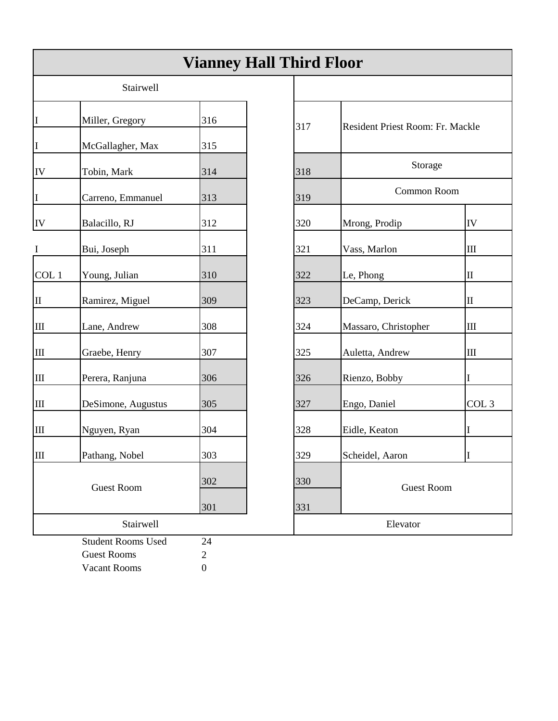|                                              |                                                                 | <b>Vianney Hall Third Floor</b>          |     |                                  |                  |
|----------------------------------------------|-----------------------------------------------------------------|------------------------------------------|-----|----------------------------------|------------------|
|                                              | Stairwell                                                       |                                          |     |                                  |                  |
| II                                           | Miller, Gregory                                                 | 316                                      | 317 | Resident Priest Room: Fr. Mackle |                  |
| I<br>${\rm IV}$                              | McGallagher, Max<br>Tobin, Mark                                 | 315<br>314                               | 318 | Storage                          |                  |
| I                                            | Carreno, Emmanuel                                               | 313                                      | 319 | Common Room                      |                  |
| IV                                           | Balacillo, RJ                                                   | 312                                      | 320 | Mrong, Prodip                    | IV               |
| $\bf{I}$                                     | Bui, Joseph                                                     | 311                                      | 321 | Vass, Marlon                     | $\rm III$        |
| COL 1                                        | Young, Julian                                                   | 310                                      | 322 | Le, Phong                        | $\mathbf H$      |
| II                                           | Ramirez, Miguel                                                 | 309                                      | 323 | DeCamp, Derick                   | $\mathbf H$      |
| $\rm III$                                    | Lane, Andrew                                                    | 308                                      | 324 | Massaro, Christopher             | $\rm III$        |
| $\rm III$                                    | Graebe, Henry                                                   | 307                                      | 325 | Auletta, Andrew                  | $\rm III$        |
| $\rm III$                                    | Perera, Ranjuna                                                 | 306                                      | 326 | Rienzo, Bobby                    | I                |
| $\rm III$                                    | DeSimone, Augustus                                              | 305                                      | 327 | Engo, Daniel                     | COL <sub>3</sub> |
| $\mathop{\mathrm{III}}$                      | Nguyen, Ryan                                                    | 304                                      | 328 | Eidle, Keaton                    | I                |
| $\mathbb{I}$                                 | Pathang, Nobel                                                  | 303                                      | 329 | Scheidel, Aaron                  | $\rm I$          |
| 302<br><b>Guest Room</b><br>301<br>Stairwell |                                                                 |                                          | 330 | <b>Guest Room</b>                |                  |
|                                              |                                                                 |                                          | 331 | Elevator                         |                  |
|                                              | <b>Student Rooms Used</b><br><b>Guest Rooms</b><br>Vacant Rooms | 24<br>$\overline{2}$<br>$\boldsymbol{0}$ |     |                                  |                  |